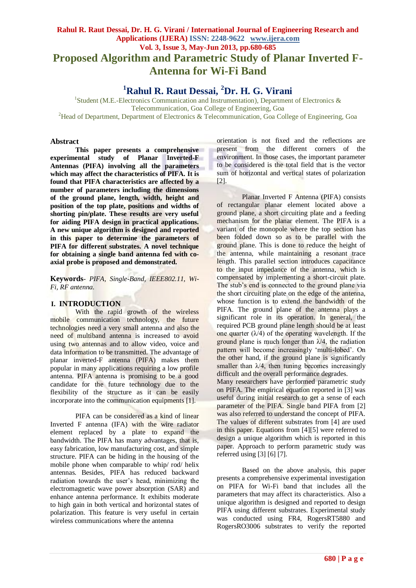# **Rahul R. Raut Dessai, Dr. H. G. Virani / International Journal of Engineering Research and Applications (IJERA) ISSN: 2248-9622 www.ijera.com Vol. 3, Issue 3, May-Jun 2013, pp.680-685 Proposed Algorithm and Parametric Study of Planar Inverted F-Antenna for Wi-Fi Band**

**<sup>1</sup>Rahul R. Raut Dessai, <sup>2</sup>Dr. H. G. Virani**

<sup>1</sup>Student (M.E.-Electronics Communication and Instrumentation), Department of Electronics & Telecommunication, Goa College of Engineering, Goa <sup>2</sup>Head of Department, Department of Electronics & Telecommunication, Goa College of Engineering, Goa

#### **Abstract**

**This paper presents a comprehensive experimental study of Planar Inverted-F Antennas (PIFA) involving all the parameters which may affect the characteristics of PIFA. It is found that PIFA characteristics are affected by a number of parameters including the dimensions of the ground plane, length, width, height and position of the top plate, positions and widths of shorting pin/plate. These results are very useful for aiding PIFA design in practical applications. A new unique algorithm is designed and reported in this paper to determine the parameters of PIFA for different substrates. A novel technique for obtaining a single band antenna fed with coaxial probe is proposed and demonstrated.**

**Keywords***- PIFA, Single-Band, IEEE802.11, Wi-Fi, RF antenna.*

### **I. INTRODUCTION**

With the rapid growth of the wireless mobile communication technology, the future technologies need a very small antenna and also the need of multiband antenna is increased to avoid using two antennas and to allow video, voice and data information to be transmitted. The advantage of planar inverted-F antenna (PIFA) makes them popular in many applications requiring a low profile antenna. PIFA antenna is promising to be a good candidate for the future technology due to the flexibility of the structure as it can be easily incorporate into the communication equipments [1].

PIFA can be considered as a kind of linear Inverted F antenna (IFA) with the wire radiator element replaced by a plate to expand the bandwidth. The PIFA has many advantages, that is, easy fabrication, low manufacturing cost, and simple structure. PIFA can be hiding in the housing of the mobile phone when comparable to whip/ rod/ helix antennas. Besides, PIFA has reduced backward radiation towards the user"s head, minimizing the electromagnetic wave power absorption (SAR) and enhance antenna performance. It exhibits moderate to high gain in both vertical and horizontal states of polarization. This feature is very useful in certain wireless communications where the antenna

orientation is not fixed and the reflections are present from the different corners of the environment. In those cases, the important parameter to be considered is the total field that is the vector sum of horizontal and vertical states of polarization [2].

Planar Inverted F Antenna (PIFA) consists of rectangular planar element located above a ground plane, a short circuiting plate and a feeding mechanism for the planar element. The PIFA is a variant of the monopole where the top section has been folded down so as to be parallel with the ground plane. This is done to reduce the height of the antenna, while maintaining a resonant trace length. This parallel section introduces capacitance to the input impedance of the antenna, which is compensated by implementing a short-circuit plate. The stub's end is connected to the ground plane via the short circuiting plate on the edge of the antenna, whose function is to extend the bandwidth of the PIFA. The ground plane of the antenna plays a significant role in its operation. In general, the required PCB ground plane length should be at least one quarter  $(\lambda/4)$  of the operating wavelength. If the ground plane is much longer than  $\lambda/4$ , the radiation pattern will become increasingly "multi-lobed". On the other hand, if the ground plane is significantly smaller than  $\lambda/4$ , then tuning becomes increasingly difficult and the overall performance degrades.

Many researchers have performed parametric study on PIFA. The empirical equation reported in [3] was useful during initial research to get a sense of each parameter of the PIFA. Single band PIFA from [2] was also referred to understand the concept of PIFA. The values of different substrates from [4] are used in this paper. Equations from [4][5] were referred to design a unique algorithm which is reported in this paper. Approach to perform parametric study was referred using [3] [6] [7].

Based on the above analysis, this paper presents a comprehensive experimental investigation on PIFA for Wi-Fi band that includes all the parameters that may affect its characteristics. Also a unique algorithm is designed and reported to design PIFA using different substrates. Experimental study was conducted using FR4, RogersRT5880 and RogersRO3006 substrates to verify the reported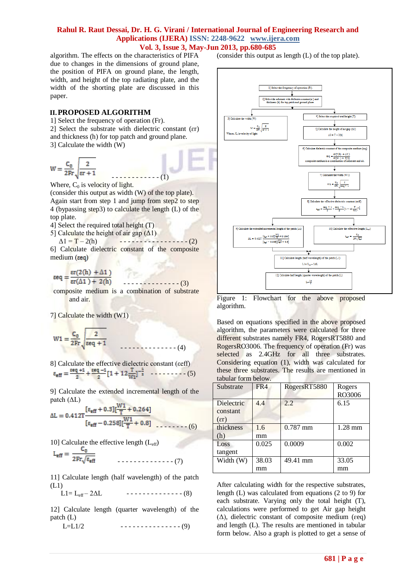algorithm. The effects on the characteristics of PIFA due to changes in the dimensions of ground plane, the position of PIFA on ground plane, the length, width, and height of the top radiating plate, and the width of the shorting plate are discussed in this paper.

#### **II.PROPOSED ALGORITHM**

1] Select the frequency of operation (Fr).

2] Select the substrate with dielectric constant (ɛr) and thickness (h) for top patch and ground plane. 3] Calculate the width (W)

$$
W = \frac{C_0}{2Fr} \sqrt{\frac{2}{\epsilon r + 1}}
$$

 $- - - - - - - - - - (1)$ Where,  $C_0$  is velocity of light.

(consider this output as width (W) of the top plate). Again start from step 1 and jump from step2 to step 4 (bypassing step3) to calculate the length (L) of the top plate.

4] Select the required total height (T)

5] Calculate the height of air gap  $(\Delta 1)$ 

 $\Delta 1 = T - 2(h)$  - - - - - - - - - - - - - - - (2) 6] Calculate dielectric constant of the composite  $median (eq)$ 

 $\operatorname{er}(2(h) + \Delta 1)$  $\epsilon$ eq =

 - - - - - - - - - - - - - - (3) composite medium is a combination of substrate and air.

7] Calculate the width (W1)

$$
W1 = \frac{C_0}{2Fr} \sqrt{\frac{2}{\epsilon eq + 1}}
$$

8] Calculate the effective dielectric constant (εeff)  $\varepsilon_{\text{eff}} = \frac{\varepsilon \text{eq} + 1}{2} + \frac{\varepsilon \text{eq} - 1}{2} [1 + 12 \frac{T}{W1}]^{-\frac{1}{2}}$  -------- (5)

9] Calculate the extended incremental length of the patch  $(\Delta L)$ **DEC** 

$$
\Delta L = 0.412T \frac{[\varepsilon_{eff} + 0.3][\frac{W1}{T} + 0.264]}{[\varepsilon_{eff} - 0.258][\frac{W1}{T} + 0.8]}
$$
(6)

10] Calculate the effective length  $(L_{\text{eff}})$ 

$$
L_{\text{eff}} = \frac{C_0}{2Fr\sqrt{\epsilon_{\text{eff}}}}
$$

11] Calculate length (half wavelength) of the patch (L1)

$$
L1 = L_{eff} - 2\Delta L \qquad \qquad \cdots \qquad (8)
$$

12] Calculate length (quarter wavelength) of the patch (L)

$$
L = L1/2 \qquad \qquad \cdots \qquad (9)
$$

(consider this output as length (L) of the top plate).



Figure 1: Flowchart for the above proposed algorithm.

Based on equations specified in the above proposed algorithm, the parameters were calculated for three different substrates namely FR4, RogersRT5880 and RogersRO3006. The frequency of operation (Fr) was selected as 2.4GHz for all three substrates. Considering equation (1), width was calculated for these three substrates. The results are mentioned in tabular form below.

| Substrate                                | FR4         | RogersRT5880 | Rogers<br>RO3006 |
|------------------------------------------|-------------|--------------|------------------|
| Dielectric<br>constant<br>$(\epsilon r)$ | 4.4         | 2.2          | 6.15             |
| thickness<br>(h)                         | 1.6<br>mm   | $0.787$ mm   | 1.28 mm          |
| Loss<br>tangent                          | 0.025       | 0.0009       | 0.002            |
| Width (W)                                | 38.03<br>mm | 49.41 mm     | 33.05<br>mm      |

After calculating width for the respective substrates, length (L) was calculated from equations (2 to 9) for each substrate. Varying only the total height (T), calculations were performed to get Air gap height ( $Δ$ ), dielectric constant of composite medium (εeq) and length (L). The results are mentioned in tabular form below. Also a graph is plotted to get a sense of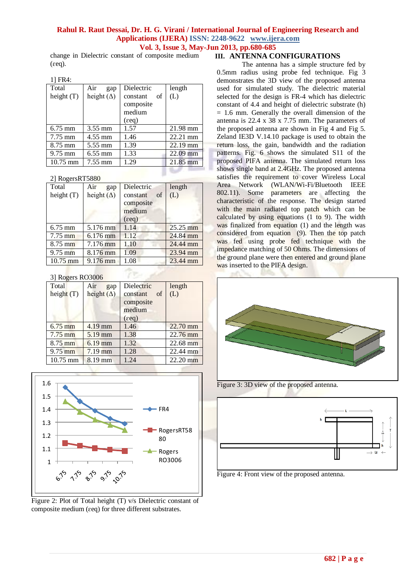change in Dielectric constant of composite medium (ɛeq).

| $1 + 1 + 1 + \ldots$ |                   |                 |            |
|----------------------|-------------------|-----------------|------------|
| Total                | Air<br>gap        | Dielectric      | length     |
| height $(T)$         | height $(\Delta)$ | οf<br>constant  | (L)        |
|                      |                   | composite       |            |
|                      |                   | medium          |            |
|                      |                   | $(\epsilon$ eq) |            |
| $6.75$ mm            | 3.55 mm           | 1.57            | 21.98 mm   |
| $7.75$ mm            | $4.55$ mm         | 1.46            | 22.21 mm   |
| 8.75 mm              | 5.55 mm           | 1.39            | $22.19$ mm |
| $9.75$ mm            | $6.55$ mm         | 1.33            | $22.09$ mm |
| $10.75$ mm           | 7.55 mm           | 1.29            | 21.85 mm   |
|                      |                   |                 |            |

#### 2] RogersRT5880

| Total             | Air<br>gap        | Dielectric                  | length   |
|-------------------|-------------------|-----------------------------|----------|
| height $(T)$      | height $(\Delta)$ | constant<br>of<br>composite | (L)      |
|                   |                   | medium                      |          |
|                   |                   | $(\epsilon$ eq)             |          |
| $6.75$ mm         | 5.176 mm          | 1.14                        | 25.25 mm |
| $7.75 \text{ mm}$ | $6.176$ mm        | 1.12                        | 24.84 mm |
| $8.75$ mm         | 7.176 mm          | 1.10                        | 24.44 mm |
| $9.75$ mm         | 8.176 mm          | 1.09                        | 23.94 mm |
| $10.75$ mm        | 9.176 mm          | 1.08                        | 23.44 mm |

#### 3] Rogers RO3006

| Total        | Air<br>gap        | Dielectric      | length             |
|--------------|-------------------|-----------------|--------------------|
| height $(T)$ | height $(\Delta)$ | constant<br>of  | (L)                |
|              |                   | composite       |                    |
|              |                   | medium          |                    |
|              |                   | $(\epsilon$ eq) |                    |
| $6.75$ mm    | $4.19$ mm         | 1.46            | 22.70 mm           |
| $7.75$ mm    | 5.19 mm           | 1.38            | $22.76 \text{ mm}$ |
| $8.75$ mm    | $6.19$ mm         | 1.32            | 22.68 mm           |
| $9.75$ mm    | $7.19$ mm         | 1.28            | 22.44 mm           |
| $10.75$ mm   | 8.19 mm           | 1.24            | 22.20 mm           |



Figure 2: Plot of Total height (T) v/s Dielectric constant of composite medium (ɛeq) for three different substrates.

### **III. ANTENNA CONFIGURATIONS**

The antenna has a simple structure fed by 0.5mm radius using probe fed technique. Fig 3 demonstrates the 3D view of the proposed antenna used for simulated study. The dielectric material selected for the design is FR-4 which has dielectric constant of 4.4 and height of dielectric substrate (h)  $= 1.6$  mm. Generally the overall dimension of the antenna is 22.4 x 38 x 7.75 mm. The parameters of the proposed antenna are shown in Fig 4 and Fig 5. Zeland IE3D V.14.10 package is used to obtain the return loss, the gain, bandwidth and the radiation patterns. Fig. 6 shows the simulated S11 of the proposed PIFA antenna. The simulated return loss shows single band at 2.4GHz. The proposed antenna satisfies the requirement to cover Wireless Local Area Network (WLAN/Wi-Fi/Bluetooth IEEE 802.11). Some parameters are affecting the characteristic of the response. The design started with the main radiated top patch which can be calculated by using equations (1 to 9). The width was finalized from equation (1) and the length was considered from equation (9). Then the top patch was fed using probe fed technique with the impedance matching of 50 Ohms. The dimensions of the ground plane were then entered and ground plane was inserted to the PIFA design.



Figure 3: 3D view of the proposed antenna.



Figure 4: Front view of the proposed antenna.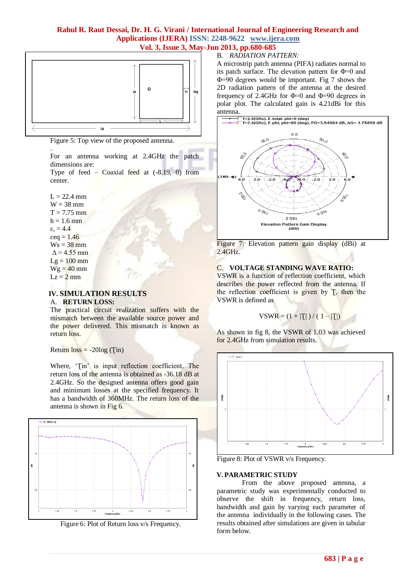

Figure 5: Top view of the proposed antenna.

For an antenna working at 2.4GHz the patch dimensions are:

Type of feed – Coaxial feed at  $(-8.19, 0)$  from center.

 $L = 22.4$  mm  $W = 38$  mm  $T = 7.75$  mm  $h = 1.6$  mm  $\varepsilon_{\rm r} = 4.4$  $\epsilon$ eq = 1.46  $Ws = 38$  mm  $\Delta$  = 4.55 mm  $Lg = 100$  mm  $Wg = 40$  mm  $Lz = 2$  mm

.

#### **IV. SIMULATION RESULTS** A. **RETURN LOSS:**

The practical circuit realization suffers with the mismatch between the available source power and the power delivered. This mismatch is known as return loss.

Return  $loss = -20log(Tin)$ 

Where, 'Tin' is input reflection coefficient. The return loss of the antenna is obtained as -36.18 dB at 2.4GHz. So the designed antenna offers good gain and minimum losses at the specified frequency. It has a bandwidth of 360MHz. The return loss of the antenna is shown in Fig 6.



Figure 6: Plot of Return loss v/s Frequency.

## B. *RADIATION PATTERN:*

A microstrip patch antenna (PIFA) radiates normal to its patch surface. The elevation pattern for Φ=0 and Φ=90 degrees would be important. Fig 7 shows the 2D radiation pattern of the antenna at the desired frequency of 2.4GHz for  $\Phi$ =0 and  $\Phi$ =90 degrees in polar plot. The calculated gain is 4.21dBi for this antenna.



Figure 7: Elevation pattern gain display (dBi) at 2.4GHz.

### C. **VOLTAGE STANDING WAVE RATIO:**

VSWR is a function of reflection coefficient, which describes the power reflected from the antenna. If the reflection coefficient is given by  $T$ , then the VSWR is defined as

$$
VSWR = (1 + |T|) / (1 - |T|)
$$

As shown in fig 8, the VSWR of 1.03 was achieved for 2.4GHz from simulation results.



Figure 8: Plot of VSWR v/s Frequency.

#### **V. PARAMETRIC STUDY**

From the above proposed antenna, a parametric study was experimentally conducted to observe the shift in frequency, return loss, bandwidth and gain by varying each parameter of the antenna individually in the following cases. The results obtained after simulations are given in tabular form below.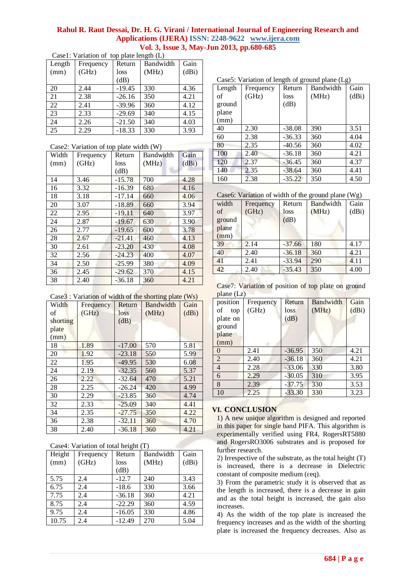| Case1: Variation of top plate length (L) |           |          |           |       |  |
|------------------------------------------|-----------|----------|-----------|-------|--|
| Length                                   | Frequency | Return   | Bandwidth | Gain  |  |
| (mm)                                     | (GHz)     | loss     | (MHz)     | (dBi) |  |
|                                          |           | dB)      |           |       |  |
| 20                                       | 2.44      | $-19.45$ | 330       | 4.36  |  |
| 21                                       | 2.38      | $-26.16$ | 350       | 4.21  |  |
| 22                                       | 2.41      | $-39.96$ | 360       | 4.12  |  |
| 23                                       | 2.33      | $-29.69$ | 340       | 4.15  |  |
| 24                                       | 2.26      | $-21.50$ | 340       | 4.03  |  |
| 25                                       | 2.29      | $-18.33$ | 330       | 3.93  |  |

| 21<br>22                                | 2.38<br>2.41 | $-26.16$<br>$-39.96$ | 350<br>360 | 4.21<br>4.12 |  |  |
|-----------------------------------------|--------------|----------------------|------------|--------------|--|--|
| 23                                      | 2.33         | $-29.69$             | 340        | 4.15         |  |  |
| $\overline{24}$                         | 2.26         | $-21.50$             | 340        | 4.03         |  |  |
| 25                                      | 2.29         | $-18.33$             | 330        | 3.93         |  |  |
| Case2: Variation of top plate width (W) |              |                      |            |              |  |  |

| Width | Frequency | Return   | Bandwidth | Gain  |
|-------|-----------|----------|-----------|-------|
| (mm)  | (GHz)     | loss     | (MHz)     | (dBi) |
|       |           | (dB)     |           |       |
| 14    | 3.46      | $-15.78$ | 700       | 4.28  |
| 16    | 3.32      | $-16.39$ | 680       | 4.16  |
| 18    | 3.18      | $-17.14$ | 660       | 4.06  |
| 20    | 3.07      | $-18.89$ | 660       | 3.94  |
| 22    | 2.95      | $-19.11$ | 640       | 3.97  |
| 24    | 2.87      | $-19.67$ | 630       | 3.90  |
| 26    | 2.77      | $-19.65$ | 600       | 3.78  |
| 28    | 2.67      | $-21.41$ | 460       | 4.13  |
| 30    | 2.61      | $-23.20$ | 430       | 4.08  |
| 32    | 2.56      | $-24.23$ | 400       | 4.07  |
| 34    | 2.50      | $-25.99$ | 380       | 4.09  |
| 36    | 2.45      | $-29.62$ | 370       | 4.15  |
| 38    | 2.40      | $-36.18$ | 360       | 4.21  |

Case3 : Variation of width of the shorting plate (Ws)

| Width    | Frequency | Return   | οг<br>Bandwidth | Gain  |
|----------|-----------|----------|-----------------|-------|
| of       | (GHz)     | loss     | (MHz)           | (dBi) |
| shorting |           | (dB)     |                 |       |
| plate    |           |          |                 |       |
| (mm)     |           |          |                 |       |
| 18       | 1.89      | $-17.00$ | 570             | 5.81  |
| 20       | 1.92      | $-23.18$ | 550             | 5.99  |
| 22       | 1.95      | $-49.95$ | 530             | 6.08  |
| 24       | 2.19      | $-32.35$ | 560             | 5.37  |
| 26       | 2.22      | $-32.64$ | 470             | 5.21  |
| 28       | 2.25      | $-26.24$ | 420             | 4.99  |
| 30       | 2.29      | $-23.85$ | 360             | 4.74  |
| 32       | 2.33      | $-25.09$ | 340             | 4.41  |
| 34       | 2.35      | $-27.75$ | 350             | 4.22  |
| 36       | 2.38      | $-32.11$ | 360             | 4.70  |
| 38       | 2.40      | $-36.18$ | 360             | 4.21  |

| Case4: Variation of total height (T) |  |  |
|--------------------------------------|--|--|
|                                      |  |  |

| Case, variation of total neight $(1)$ |          |           |       |  |  |
|---------------------------------------|----------|-----------|-------|--|--|
| Frequency                             | Return   | Bandwidth | Gain  |  |  |
| (GHz)                                 | loss     | (MHz)     | (dBi) |  |  |
|                                       | (dB)     |           |       |  |  |
| 2.4                                   | $-12.7$  | 240       | 3.43  |  |  |
| 2.4                                   | $-18.6$  | 330       | 3.66  |  |  |
| 2.4                                   | $-36.18$ | 360       | 4.21  |  |  |
| 2.4                                   | $-22.29$ | 360       | 4.59  |  |  |
| 2.4                                   | $-16.05$ | 330       | 4.86  |  |  |
| 2.4                                   | $-12.49$ | 270       | 5.04  |  |  |
|                                       |          |           |       |  |  |

 $\mathsf{B}$  anoth of ground plane (Lg)

| Cases: variation of length of ground plane (Lg) |           |          |           |       |  |
|-------------------------------------------------|-----------|----------|-----------|-------|--|
| Length                                          | Frequency | Return   | Bandwidth | Gain  |  |
| of                                              | (GHz)     | loss     | (MHz)     | (dBi) |  |
| ground                                          |           | (dB)     |           |       |  |
| plane                                           |           |          |           |       |  |
| (mm)                                            |           |          |           |       |  |
| 40                                              | 2.30      | $-38.08$ | 390       | 3.51  |  |
| 60                                              | 2.38      | $-36.33$ | 360       | 4.04  |  |
| 80                                              | 2.35      | $-40.56$ | 360       | 4.02  |  |
| 100                                             | 2.40      | $-36.18$ | 360       | 4.21  |  |
| 120                                             | 2.37      | $-36.45$ | 360       | 4.37  |  |
| 140                                             | 2.35      | $-38.64$ | 360       | 4.41  |  |
| 160                                             | 2.38      | $-35.22$ | 350       | 4.50  |  |

Case6: Variation of width of the ground plane (Wg)

| width  | Frequency | Return   | Bandwidth | Gain  |
|--------|-----------|----------|-----------|-------|
| of     | (GHz)     | loss     | (MHz)     | (dBi) |
| ground |           | (dB)     |           |       |
| plane  |           |          |           |       |
| (mm)   |           |          |           |       |
| 39     | 2.14      | $-37.66$ | 180       | 4.17  |
| 40     | 2.40      | $-36.18$ | 360       | 4.21  |
| 41     | 2.41      | $-33.94$ | 290       | 4.11  |
| 42     | 2.40      | $-35.43$ | 350       | 4.00  |

Case7: Variation of position of top plate on ground plane (Lz)

| $P1$ univ<br>position<br>οf<br>top<br>plate on<br>ground | Frequency<br>(GHz) | Return<br>loss<br>dB) | Bandwidth<br>(MHz) | Gain<br>(dBi) |
|----------------------------------------------------------|--------------------|-----------------------|--------------------|---------------|
| plane<br>(mm)                                            |                    |                       |                    |               |
| $\Omega$<br>$\overline{2}$                               | 2.41<br>2.40       | $-36.95$<br>$-36.18$  | 350<br>360         | 4.21<br>4.21  |
| $\overline{4}$                                           | 2.28               | $-33.06$              | 330                | 3.80          |
| 6                                                        | 2.29               | $-30.05$              | 310                | 3.95          |
| 8                                                        | 2.39               | $-37.75$              | 330                | 3.53          |
| 10                                                       | 2.25               | $-33.30$              | 330                | 3.23          |

# **VI. CONCLUSION**

1) A new unique algorithm is designed and reported in this paper for single band PIFA. This algorithm is experimentally verified using FR4, RogersRT5880 and RogersRO3006 substrates and is proposed for further research.

2) Irrespective of the substrate, as the total height (T) is increased, there is a decrease in Dielectric constant of composite medium (ɛeq).

3) From the parametric study it is observed that as the length is increased, there is a decrease in gain and as the total height is increased, the gain also increases.

4) As the width of the top plate is increased the frequency increases and as the width of the shorting plate is increased the frequency decreases. Also as